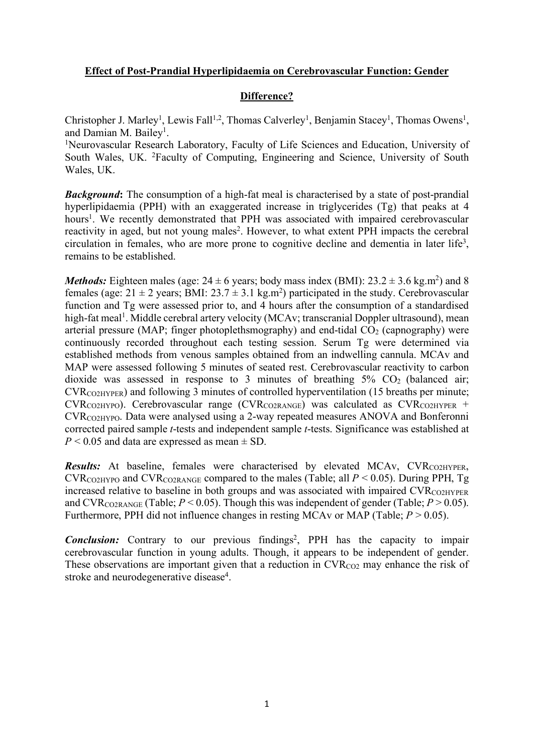## **Effect of Post-Prandial Hyperlipidaemia on Cerebrovascular Function: Gender**

## **Difference?**

Christopher J. Marley<sup>1</sup>, Lewis Fall<sup>1,2</sup>, Thomas Calverley<sup>1</sup>, Benjamin Stacey<sup>1</sup>, Thomas Owens<sup>1</sup>, and Damian M. Bailey<sup>1</sup>.

<sup>1</sup>Neurovascular Research Laboratory, Faculty of Life Sciences and Education, University of South Wales, UK. <sup>2</sup>Faculty of Computing, Engineering and Science, University of South Wales, UK.

*Background*: The consumption of a high-fat meal is characterised by a state of post-prandial hyperlipidaemia (PPH) with an exaggerated increase in triglycerides (Tg) that peaks at 4 hours<sup>1</sup>. We recently demonstrated that PPH was associated with impaired cerebrovascular reactivity in aged, but not young males<sup>2</sup>. However, to what extent PPH impacts the cerebral circulation in females, who are more prone to cognitive decline and dementia in later life<sup>3</sup>, remains to be established.

*Methods:* Eighteen males (age:  $24 \pm 6$  years; body mass index (BMI):  $23.2 \pm 3.6$  kg.m<sup>2</sup>) and 8 females (age:  $21 \pm 2$  years; BMI:  $23.7 \pm 3.1$  kg.m<sup>2</sup>) participated in the study. Cerebrovascular function and Tg were assessed prior to, and 4 hours after the consumption of a standardised high-fat meal<sup>1</sup>. Middle cerebral artery velocity (MCAv; transcranial Doppler ultrasound), mean arterial pressure (MAP; finger photoplethsmography) and end-tidal  $CO<sub>2</sub>$  (capnography) were continuously recorded throughout each testing session. Serum Tg were determined via established methods from venous samples obtained from an indwelling cannula. MCAv and MAP were assessed following 5 minutes of seated rest. Cerebrovascular reactivity to carbon dioxide was assessed in response to 3 minutes of breathing  $5\%$  CO<sub>2</sub> (balanced air;  $CVR<sub>CO2HYPER</sub>$ ) and following 3 minutes of controlled hyperventilation (15 breaths per minute;  $CVR_{CO2HYPO}$ ). Cerebrovascular range (CVR<sub>CO2RANGE</sub>) was calculated as  $CVR_{CO2HYPER}$  + CVRCO2HYPO. Data were analysed using a 2-way repeated measures ANOVA and Bonferonni corrected paired sample *t*-tests and independent sample *t*-tests. Significance was established at  $P < 0.05$  and data are expressed as mean  $\pm$  SD.

*Results:* At baseline, females were characterised by elevated MCAv, CVR<sub>CO2HYPER</sub>, CVR<sub>CO2HYPO</sub> and CVR<sub>CO2RANGE</sub> compared to the males (Table; all  $P < 0.05$ ). During PPH, Tg increased relative to baseline in both groups and was associated with impaired  $\text{CVR}_{\text{CO2HYPER}}$ and CVR<sub>CO2RANGE</sub> (Table;  $P < 0.05$ ). Though this was independent of gender (Table;  $P > 0.05$ ). Furthermore, PPH did not influence changes in resting MCAv or MAP (Table;  $P > 0.05$ ).

**Conclusion:** Contrary to our previous findings<sup>2</sup>, PPH has the capacity to impair cerebrovascular function in young adults. Though, it appears to be independent of gender. These observations are important given that a reduction in CVR<sub>CO2</sub> may enhance the risk of stroke and neurodegenerative disease<sup>4</sup>.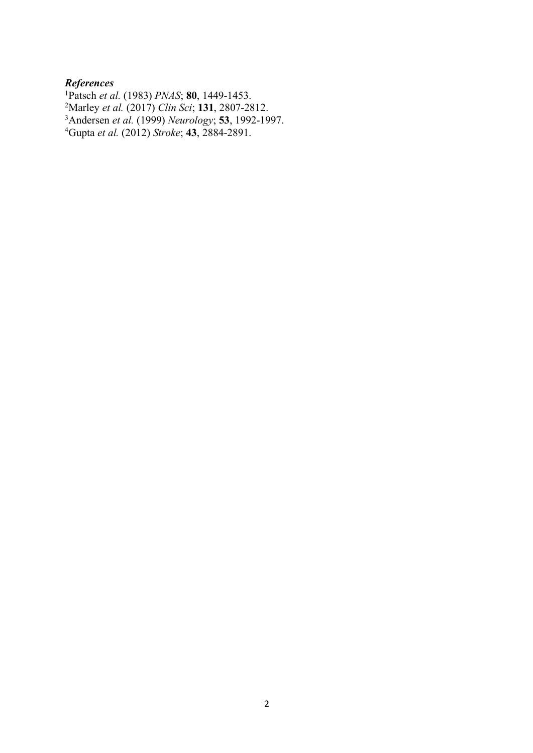## *References*

1 Patsch *et al.* (1983) *PNAS*; **80**, 1449-1453. 2 Marley *et al.* (2017) *Clin Sci*; **131**, 2807-2812. 3Andersen *et al.* (1999) *Neurology*; **53**, 1992-1997. 4Gupta *et al.* (2012) *Stroke*; **43**, 2884-2891.